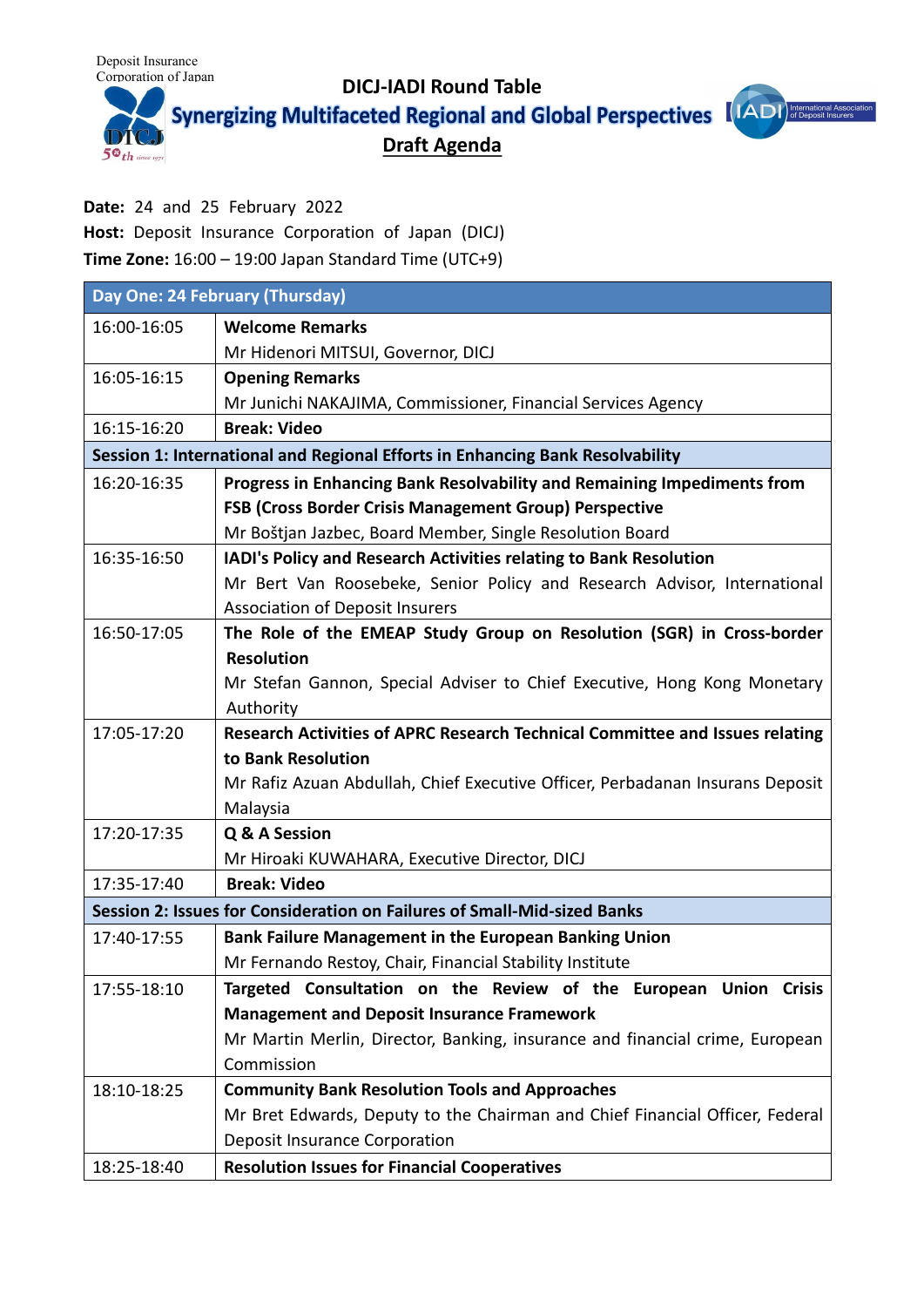Deposit Insurance

 $5^{\circ}$ th



**Date:** 24 and 25 February 2022

**Host:** Deposit Insurance Corporation of Japan (DICJ)

**Time Zone:** 16:00 – 19:00 Japan Standard Time (UTC+9)

| Day One: 24 February (Thursday)                                               |                                                                               |  |
|-------------------------------------------------------------------------------|-------------------------------------------------------------------------------|--|
| 16:00-16:05                                                                   | <b>Welcome Remarks</b>                                                        |  |
|                                                                               | Mr Hidenori MITSUI, Governor, DICJ                                            |  |
| 16:05-16:15                                                                   | <b>Opening Remarks</b>                                                        |  |
|                                                                               | Mr Junichi NAKAJIMA, Commissioner, Financial Services Agency                  |  |
| 16:15-16:20                                                                   | <b>Break: Video</b>                                                           |  |
| Session 1: International and Regional Efforts in Enhancing Bank Resolvability |                                                                               |  |
| 16:20-16:35                                                                   | Progress in Enhancing Bank Resolvability and Remaining Impediments from       |  |
|                                                                               | FSB (Cross Border Crisis Management Group) Perspective                        |  |
|                                                                               | Mr Boštjan Jazbec, Board Member, Single Resolution Board                      |  |
| 16:35-16:50                                                                   | IADI's Policy and Research Activities relating to Bank Resolution             |  |
|                                                                               | Mr Bert Van Roosebeke, Senior Policy and Research Advisor, International      |  |
|                                                                               | <b>Association of Deposit Insurers</b>                                        |  |
| 16:50-17:05                                                                   | The Role of the EMEAP Study Group on Resolution (SGR) in Cross-border         |  |
|                                                                               | <b>Resolution</b>                                                             |  |
|                                                                               | Mr Stefan Gannon, Special Adviser to Chief Executive, Hong Kong Monetary      |  |
|                                                                               | Authority                                                                     |  |
| 17:05-17:20                                                                   | Research Activities of APRC Research Technical Committee and Issues relating  |  |
|                                                                               | to Bank Resolution                                                            |  |
|                                                                               | Mr Rafiz Azuan Abdullah, Chief Executive Officer, Perbadanan Insurans Deposit |  |
|                                                                               | Malaysia                                                                      |  |
| 17:20-17:35                                                                   | Q & A Session                                                                 |  |
|                                                                               | Mr Hiroaki KUWAHARA, Executive Director, DICJ                                 |  |
| 17:35-17:40                                                                   | <b>Break: Video</b>                                                           |  |
| Session 2: Issues for Consideration on Failures of Small-Mid-sized Banks      |                                                                               |  |
| 17:40-17:55                                                                   | <b>Bank Failure Management in the European Banking Union</b>                  |  |
|                                                                               | Mr Fernando Restoy, Chair, Financial Stability Institute                      |  |
| 17:55-18:10                                                                   | Targeted Consultation on the Review of the European Union Crisis              |  |
|                                                                               | <b>Management and Deposit Insurance Framework</b>                             |  |
|                                                                               | Mr Martin Merlin, Director, Banking, insurance and financial crime, European  |  |
|                                                                               | Commission                                                                    |  |
| 18:10-18:25                                                                   | <b>Community Bank Resolution Tools and Approaches</b>                         |  |
|                                                                               | Mr Bret Edwards, Deputy to the Chairman and Chief Financial Officer, Federal  |  |
|                                                                               | <b>Deposit Insurance Corporation</b>                                          |  |
| 18:25-18:40                                                                   | <b>Resolution Issues for Financial Cooperatives</b>                           |  |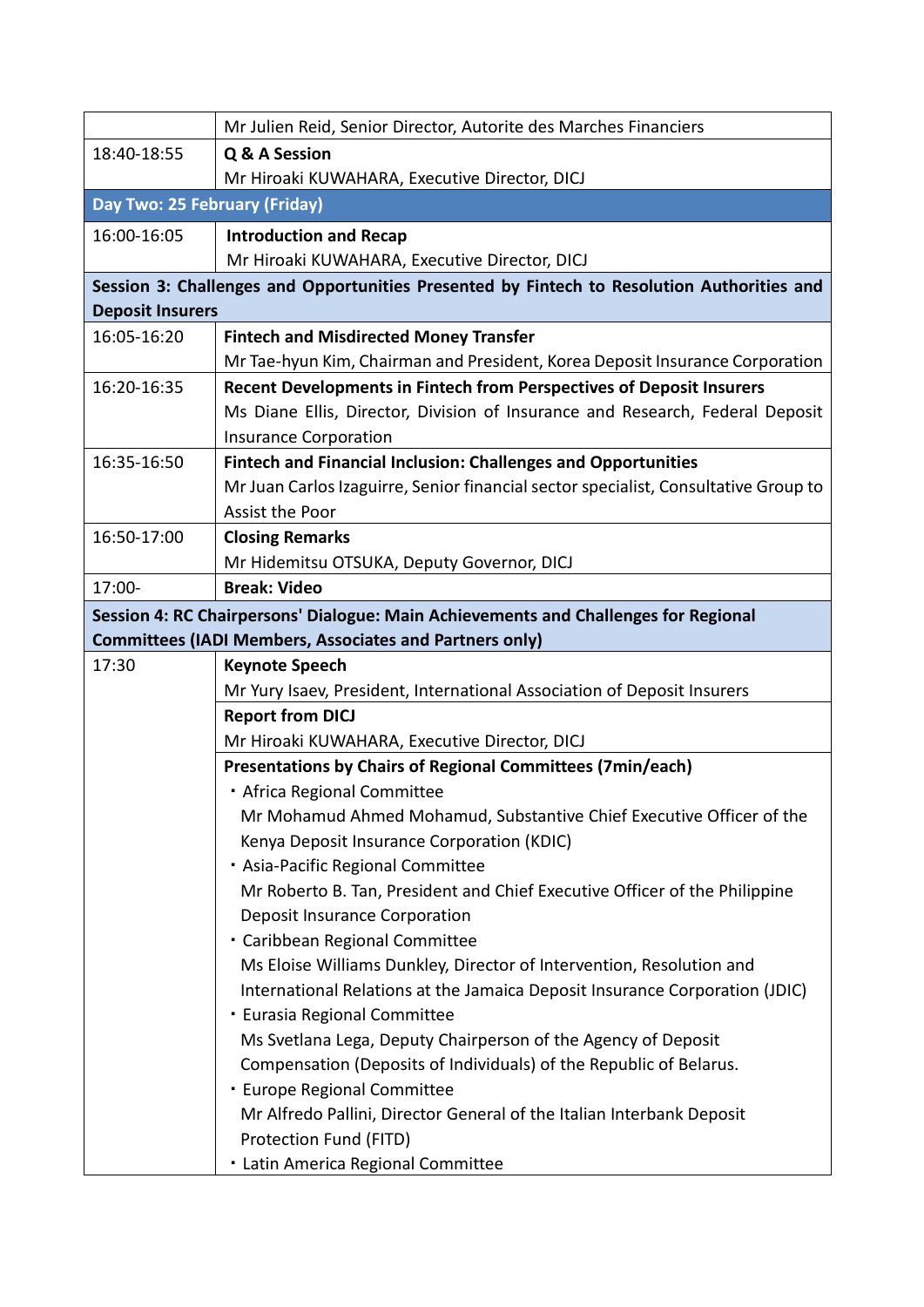|                                                                                            | Mr Julien Reid, Senior Director, Autorite des Marches Financiers                    |  |
|--------------------------------------------------------------------------------------------|-------------------------------------------------------------------------------------|--|
| 18:40-18:55                                                                                | Q & A Session                                                                       |  |
|                                                                                            | Mr Hiroaki KUWAHARA, Executive Director, DICJ                                       |  |
| Day Two: 25 February (Friday)                                                              |                                                                                     |  |
| 16:00-16:05                                                                                | <b>Introduction and Recap</b>                                                       |  |
|                                                                                            | Mr Hiroaki KUWAHARA, Executive Director, DICJ                                       |  |
| Session 3: Challenges and Opportunities Presented by Fintech to Resolution Authorities and |                                                                                     |  |
| <b>Deposit Insurers</b>                                                                    |                                                                                     |  |
| 16:05-16:20                                                                                | <b>Fintech and Misdirected Money Transfer</b>                                       |  |
|                                                                                            | Mr Tae-hyun Kim, Chairman and President, Korea Deposit Insurance Corporation        |  |
| 16:20-16:35                                                                                | Recent Developments in Fintech from Perspectives of Deposit Insurers                |  |
|                                                                                            | Ms Diane Ellis, Director, Division of Insurance and Research, Federal Deposit       |  |
|                                                                                            | <b>Insurance Corporation</b>                                                        |  |
| 16:35-16:50                                                                                | <b>Fintech and Financial Inclusion: Challenges and Opportunities</b>                |  |
|                                                                                            | Mr Juan Carlos Izaguirre, Senior financial sector specialist, Consultative Group to |  |
|                                                                                            | Assist the Poor                                                                     |  |
| 16:50-17:00                                                                                | <b>Closing Remarks</b>                                                              |  |
|                                                                                            | Mr Hidemitsu OTSUKA, Deputy Governor, DICJ                                          |  |
| 17:00-                                                                                     | <b>Break: Video</b>                                                                 |  |
|                                                                                            | Session 4: RC Chairpersons' Dialogue: Main Achievements and Challenges for Regional |  |
|                                                                                            | <b>Committees (IADI Members, Associates and Partners only)</b>                      |  |
| 17:30                                                                                      | <b>Keynote Speech</b>                                                               |  |
|                                                                                            | Mr Yury Isaev, President, International Association of Deposit Insurers             |  |
|                                                                                            | <b>Report from DICJ</b>                                                             |  |
|                                                                                            | Mr Hiroaki KUWAHARA, Executive Director, DICJ                                       |  |
|                                                                                            | <b>Presentations by Chairs of Regional Committees (7min/each)</b>                   |  |
|                                                                                            | · Africa Regional Committee                                                         |  |
|                                                                                            | Mr Mohamud Ahmed Mohamud, Substantive Chief Executive Officer of the                |  |
|                                                                                            | Kenya Deposit Insurance Corporation (KDIC)                                          |  |
|                                                                                            | · Asia-Pacific Regional Committee                                                   |  |
|                                                                                            | Mr Roberto B. Tan, President and Chief Executive Officer of the Philippine          |  |
|                                                                                            | <b>Deposit Insurance Corporation</b>                                                |  |
|                                                                                            | · Caribbean Regional Committee                                                      |  |
|                                                                                            | Ms Eloise Williams Dunkley, Director of Intervention, Resolution and                |  |
|                                                                                            | International Relations at the Jamaica Deposit Insurance Corporation (JDIC)         |  |
|                                                                                            | · Eurasia Regional Committee                                                        |  |
|                                                                                            | Ms Svetlana Lega, Deputy Chairperson of the Agency of Deposit                       |  |
|                                                                                            | Compensation (Deposits of Individuals) of the Republic of Belarus.                  |  |
|                                                                                            | · Europe Regional Committee                                                         |  |
|                                                                                            | Mr Alfredo Pallini, Director General of the Italian Interbank Deposit               |  |
|                                                                                            | Protection Fund (FITD)                                                              |  |
|                                                                                            | · Latin America Regional Committee                                                  |  |